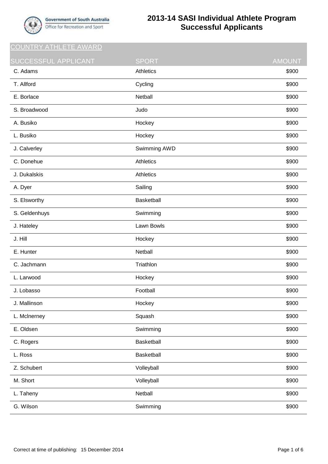

## **2013-14 SASI Individual Athlete Program Successful Applicants**

COUNTRY ATHLETE AWARD

| SUCCESSFUL APPLICANT | <b>SPORT</b>     | <b>AMOUNT</b> |
|----------------------|------------------|---------------|
| C. Adams             | <b>Athletics</b> | \$900         |
| T. Allford           | Cycling          | \$900         |
| E. Borlace           | Netball          | \$900         |
| S. Broadwood         | Judo             | \$900         |
| A. Busiko            | Hockey           | \$900         |
| L. Busiko            | Hockey           | \$900         |
| J. Calverley         | Swimming AWD     | \$900         |
| C. Donehue           | Athletics        | \$900         |
| J. Dukalskis         | <b>Athletics</b> | \$900         |
| A. Dyer              | Sailing          | \$900         |
| S. Elsworthy         | Basketball       | \$900         |
| S. Geldenhuys        | Swimming         | \$900         |
| J. Hateley           | Lawn Bowls       | \$900         |
| J. Hill              | Hockey           | \$900         |
| E. Hunter            | Netball          | \$900         |
| C. Jachmann          | Triathlon        | \$900         |
| L. Larwood           | Hockey           | \$900         |
| J. Lobasso           | Football         | \$900         |
| J. Mallinson         | Hockey           | \$900         |
| L. McInerney         | Squash           | \$900         |
| E. Oldsen            | Swimming         | \$900         |
| C. Rogers            | Basketball       | \$900         |
| L. Ross              | Basketball       | \$900         |
| Z. Schubert          | Volleyball       | \$900         |
| M. Short             | Volleyball       | \$900         |
| L. Taheny            | Netball          | \$900         |
| G. Wilson            | Swimming         | \$900         |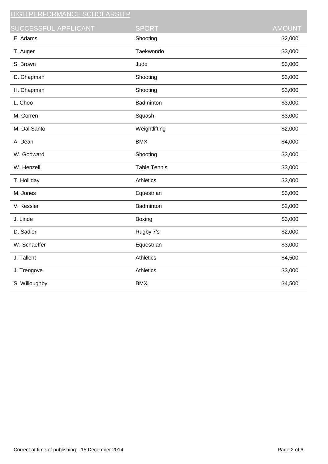| <u>HIGH PERFORMANCE SCHOLARSHIP</u> |                     |               |
|-------------------------------------|---------------------|---------------|
| SUCCESSFUL APPLICANT                | <b>SPORT</b>        | <b>AMOUNT</b> |
| E. Adams                            | Shooting            | \$2,000       |
| T. Auger                            | Taekwondo           | \$3,000       |
| S. Brown                            | Judo                | \$3,000       |
| D. Chapman                          | Shooting            | \$3,000       |
| H. Chapman                          | Shooting            | \$3,000       |
| L. Choo                             | Badminton           | \$3,000       |
| M. Corren                           | Squash              | \$3,000       |
| M. Dal Santo                        | Weightlifting       | \$2,000       |
| A. Dean                             | <b>BMX</b>          | \$4,000       |
| W. Godward                          | Shooting            | \$3,000       |
| W. Henzell                          | <b>Table Tennis</b> | \$3,000       |
| T. Holliday                         | <b>Athletics</b>    | \$3,000       |
| M. Jones                            | Equestrian          | \$3,000       |
| V. Kessler                          | Badminton           | \$2,000       |
| J. Linde                            | Boxing              | \$3,000       |
| D. Sadler                           | Rugby 7's           | \$2,000       |
| W. Schaeffer                        | Equestrian          | \$3,000       |
| J. Tallent                          | Athletics           | \$4,500       |
| J. Trengove                         | Athletics           | \$3,000       |
| S. Willoughby                       | <b>BMX</b>          | \$4,500       |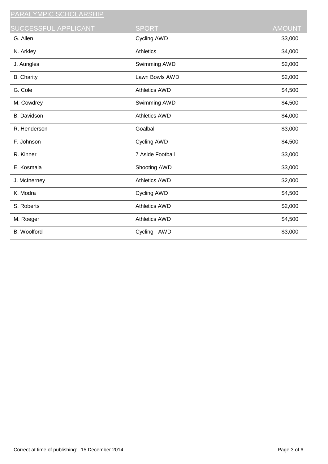| <u> PARALYMPIC SCHOLARSHIP</u> |                      |               |
|--------------------------------|----------------------|---------------|
| SUCCESSFUL APPLICANT           | <b>SPORT</b>         | <b>AMOUNT</b> |
| G. Allen                       | Cycling AWD          | \$3,000       |
| N. Arkley                      | <b>Athletics</b>     | \$4,000       |
| J. Aungles                     | Swimming AWD         | \$2,000       |
| <b>B.</b> Charity              | Lawn Bowls AWD       | \$2,000       |
| G. Cole                        | <b>Athletics AWD</b> | \$4,500       |
| M. Cowdrey                     | Swimming AWD         | \$4,500       |
| <b>B.</b> Davidson             | <b>Athletics AWD</b> | \$4,000       |
| R. Henderson                   | Goalball             | \$3,000       |
| F. Johnson                     | Cycling AWD          | \$4,500       |
| R. Kinner                      | 7 Aside Football     | \$3,000       |
| E. Kosmala                     | Shooting AWD         | \$3,000       |
| J. McInerney                   | <b>Athletics AWD</b> | \$2,000       |
| K. Modra                       | Cycling AWD          | \$4,500       |
| S. Roberts                     | <b>Athletics AWD</b> | \$2,000       |
| M. Roeger                      | <b>Athletics AWD</b> | \$4,500       |
| <b>B.</b> Woolford             | Cycling - AWD        | \$3,000       |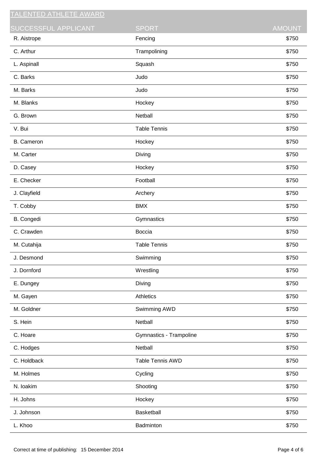| <b>TALENTED ATHLETE AWARD</b> |                         |               |
|-------------------------------|-------------------------|---------------|
| <b>SUCCESSFUL APPLICANT</b>   | <b>SPORT</b>            | <b>AMOUNT</b> |
| R. Aistrope                   | Fencing                 | \$750         |
| C. Arthur                     | Trampolining            | \$750         |
| L. Aspinall                   | Squash                  | \$750         |
| C. Barks                      | Judo                    | \$750         |
| M. Barks                      | Judo                    | \$750         |
| M. Blanks                     | Hockey                  | \$750         |
| G. Brown                      | Netball                 | \$750         |
| V. Bui                        | <b>Table Tennis</b>     | \$750         |
| <b>B.</b> Cameron             | Hockey                  | \$750         |
| M. Carter                     | Diving                  | \$750         |
| D. Casey                      | Hockey                  | \$750         |
| E. Checker                    | Football                | \$750         |
| J. Clayfield                  | Archery                 | \$750         |
| T. Cobby                      | <b>BMX</b>              | \$750         |
| B. Congedi                    | Gymnastics              | \$750         |
| C. Crawden                    | Boccia                  | \$750         |
| M. Cutahija                   | <b>Table Tennis</b>     | \$750         |
| J. Desmond                    | Swimming                | \$750         |
| J. Dornford                   | Wrestling               | \$750         |
| E. Dungey                     | Diving                  | \$750         |
| M. Gayen                      | Athletics               | \$750         |
| M. Goldner                    | Swimming AWD            | \$750         |
| S. Hein                       | Netball                 | \$750         |
| C. Hoare                      | Gymnastics - Trampoline | \$750         |
| C. Hodges                     | Netball                 | \$750         |
| C. Holdback                   | Table Tennis AWD        | \$750         |
| M. Holmes                     | Cycling                 | \$750         |
| N. loakim                     | Shooting                | \$750         |
| H. Johns                      | Hockey                  | \$750         |
| J. Johnson                    | Basketball              | \$750         |
| L. Khoo                       | Badminton               | \$750         |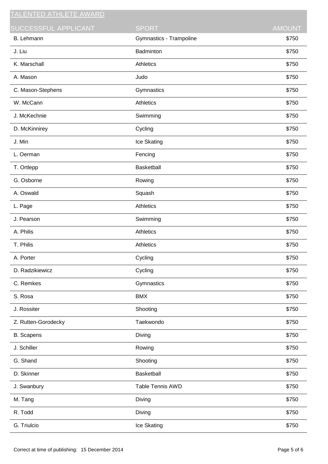| <b>ENTED ATHLETE AWARD</b> |                         |               |
|----------------------------|-------------------------|---------------|
| SUCCESSFUL APPLICANT       | <b>SPORT</b>            | <b>AMOUNT</b> |
| B. Lehmann                 | Gymnastics - Trampoline | \$750         |
| J. Liu                     | Badminton               | \$750         |
| K. Marschall               | Athletics               | \$750         |
| A. Mason                   | Judo                    | \$750         |
| C. Mason-Stephens          | Gymnastics              | \$750         |
| W. McCann                  | Athletics               | \$750         |
| J. McKechnie               | Swimming                | \$750         |
| D. McKinnirey              | Cycling                 | \$750         |
| J. Min                     | Ice Skating             | \$750         |
| L. Oerman                  | Fencing                 | \$750         |
| T. Ortlepp                 | <b>Basketball</b>       | \$750         |
| G. Osborne                 | Rowing                  | \$750         |
| A. Oswald                  | Squash                  | \$750         |
| L. Page                    | Athletics               | \$750         |
| J. Pearson                 | Swimming                | \$750         |
| A. Philis                  | <b>Athletics</b>        | \$750         |
| T. Philis                  | Athletics               | \$750         |
| A. Porter                  | Cycling                 | \$750         |
| D. Radzikiewicz            | Cycling                 | \$750         |
| C. Remkes                  | Gymnastics              | \$750         |
| S. Rosa                    | <b>BMX</b>              | \$750         |
| J. Rossiter                | Shooting                | \$750         |
| Z. Rutten-Gorodecky        | Taekwondo               | \$750         |
| <b>B.</b> Scapens          | Diving                  | \$750         |
| J. Schiller                | Rowing                  | \$750         |
| G. Shand                   | Shooting                | \$750         |
| D. Skinner                 | Basketball              | \$750         |
| J. Swanbury                | <b>Table Tennis AWD</b> | \$750         |
| M. Tang                    | Diving                  | \$750         |
| R. Todd                    | Diving                  | \$750         |
| G. Triulcio                | Ice Skating             | \$750         |